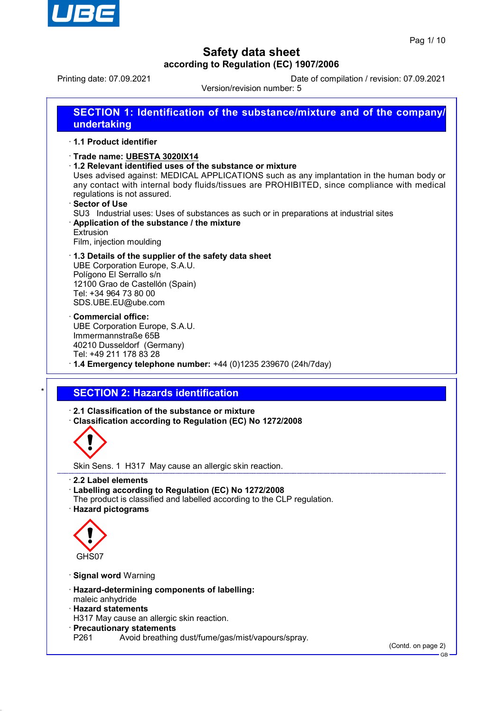

Printing date: 07.09.2021 Date of compilation / revision: 07.09.2021

Version/revision number: 5

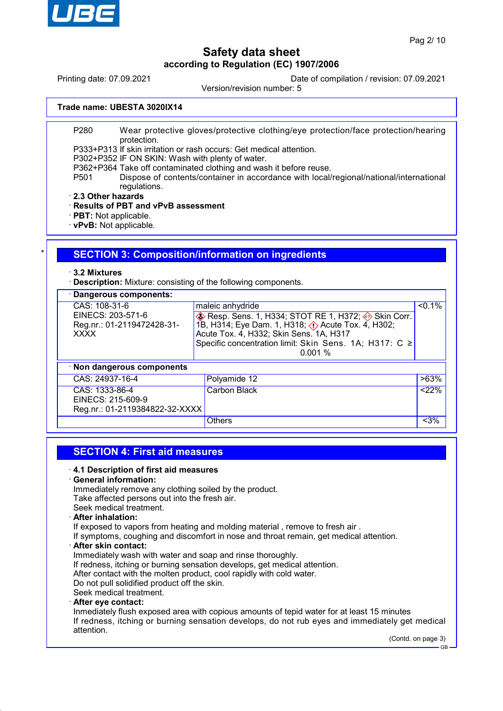

Printing date: 07.09.2021 Date of compilation / revision: 07.09.2021

Version/revision number: 5

#### **Trade name: UBESTA 3020IX14**

P280 Wear protective gloves/protective clothing/eye protection/face protection/hearing protection.

P333+P313 If skin irritation or rash occurs: Get medical attention.

P302+P352 IF ON SKIN: Wash with plenty of water.

- P362+P364 Take off contaminated clothing and wash it before reuse.
- P501 Dispose of contents/container in accordance with local/regional/national/international regulations.
- · **2.3 Other hazards**

## · **Results of PBT and vPvB assessment**

- · **PBT:** Not applicable.
- · **vPvB:** Not applicable.

## **SECTION 3: Composition/information on ingredients**

#### · **3.2 Mixtures**

· **Description:** Mixture: consisting of the following components.

| · Dangerous components:                                        |                                                                                                                                                                                                                                                             |           |  |
|----------------------------------------------------------------|-------------------------------------------------------------------------------------------------------------------------------------------------------------------------------------------------------------------------------------------------------------|-----------|--|
| CAS: 108-31-6                                                  | maleic anhydride                                                                                                                                                                                                                                            | $< 0.1\%$ |  |
| EINECS: 203-571-6<br>Reg.nr.: 01-2119472428-31-<br><b>XXXX</b> | $\diamondsuit$ Resp. Sens. 1, H334; STOT RE 1, H372; $\diamondsuit$ Skin Corr.<br>1B, H314; Eye Dam. 1, H318; $\Diamond$ Acute Tox. 4, H302;<br>Acute Tox. 4, H332; Skin Sens. 1A, H317<br>Specific concentration limit: Skin Sens. 1A; H317: C ≥<br>0.001% |           |  |
| · Non dangerous components                                     |                                                                                                                                                                                                                                                             |           |  |
| CAS: 24937-16-4                                                | Polyamide 12                                                                                                                                                                                                                                                | >63%      |  |
| CAS: 1333-86-4                                                 | Carbon Black                                                                                                                                                                                                                                                | < 22%     |  |
| EINECS: 215-609-9                                              |                                                                                                                                                                                                                                                             |           |  |
| Reg.nr.: 01-2119384822-32-XXXX                                 |                                                                                                                                                                                                                                                             |           |  |
|                                                                | <b>Others</b>                                                                                                                                                                                                                                               | $<$ 3%    |  |

## **SECTION 4: First aid measures**

#### · **4.1 Description of first aid measures**

#### · **General information:**

Immediately remove any clothing soiled by the product. Take affected persons out into the fresh air. Seek medical treatment.

## · **After inhalation:**

If exposed to vapors from heating and molding material , remove to fresh air .

If symptoms, coughing and discomfort in nose and throat remain, get medical attention.

#### · **After skin contact:**

Immediately wash with water and soap and rinse thoroughly.

If redness, itching or burning sensation develops, get medical attention.

After contact with the molten product, cool rapidly with cold water.

Do not pull solidified product off the skin.

Seek medical treatment.

#### · **After eye contact:**

Inmediately flush exposed area with copious amounts of tepid water for at least 15 minutes If redness, itching or burning sensation develops, do not rub eyes and immediately get medical attention.

(Contd. on page 3)

GB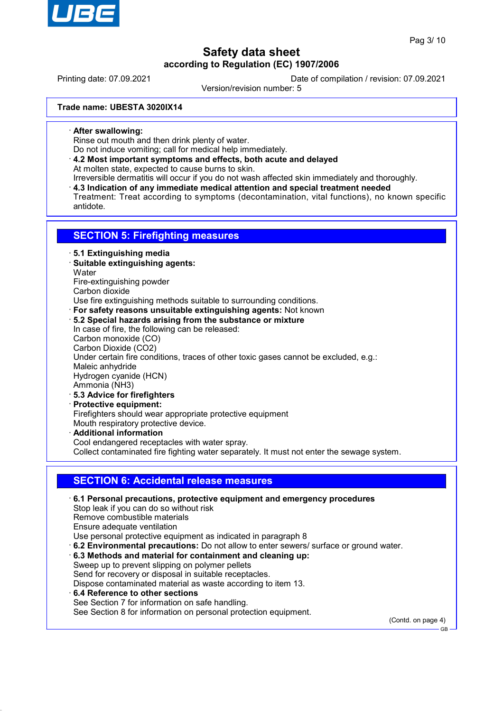

Printing date: 07.09.2021 Date of compilation / revision: 07.09.2021

Version/revision number: 5

**Trade name: UBESTA 3020IX14**

· **After swallowing:**

Rinse out mouth and then drink plenty of water.

- Do not induce vomiting; call for medical help immediately.
- · **4.2 Most important symptoms and effects, both acute and delayed** At molten state, expected to cause burns to skin.
- Irreversible dermatitis will occur if you do not wash affected skin immediately and thoroughly. · **4.3 Indication of any immediate medical attention and special treatment needed** Treatment: Treat according to symptoms (decontamination, vital functions), no known specific antidote.

## **SECTION 5: Firefighting measures**

· **5.1 Extinguishing media**

· **Suitable extinguishing agents:**

**Water** 

Fire-extinguishing powder Carbon dioxide

Use fire extinguishing methods suitable to surrounding conditions.

- · **For safety reasons unsuitable extinguishing agents:** Not known
- · **5.2 Special hazards arising from the substance or mixture**

In case of fire, the following can be released: Carbon monoxide (CO) Carbon Dioxide (CO2)

Under certain fire conditions, traces of other toxic gases cannot be excluded, e.g.:

Maleic anhydride

Hydrogen cyanide (HCN) Ammonia (NH3)

- · **5.3 Advice for firefighters**
- · **Protective equipment:**

Firefighters should wear appropriate protective equipment Mouth respiratory protective device.

· **Additional information** Cool endangered receptacles with water spray.

Collect contaminated fire fighting water separately. It must not enter the sewage system.

## **SECTION 6: Accidental release measures**

· **6.1 Personal precautions, protective equipment and emergency procedures** Stop leak if you can do so without risk Remove combustible materials Ensure adequate ventilation Use personal protective equipment as indicated in paragraph 8 · **6.2 Environmental precautions:** Do not allow to enter sewers/ surface or ground water. · **6.3 Methods and material for containment and cleaning up:**

- Sweep up to prevent slipping on polymer pellets Send for recovery or disposal in suitable receptacles. Dispose contaminated material as waste according to item 13.
- · **6.4 Reference to other sections** See Section 7 for information on safe handling. See Section 8 for information on personal protection equipment.

(Contd. on page 4)

GB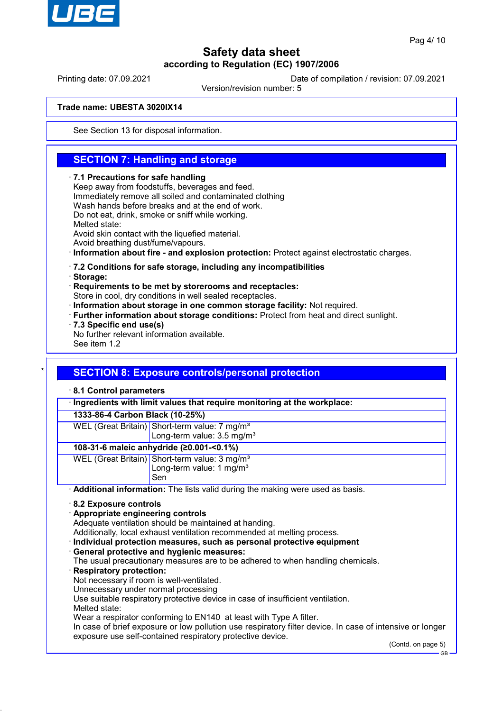

Printing date: 07.09.2021 Date of compilation / revision: 07.09.2021

Version/revision number: 5

#### **Trade name: UBESTA 3020IX14**

See Section 13 for disposal information.

## **SECTION 7: Handling and storage**

#### · **7.1 Precautions for safe handling**

Keep away from foodstuffs, beverages and feed. Immediately remove all soiled and contaminated clothing Wash hands before breaks and at the end of work. Do not eat, drink, smoke or sniff while working. Melted state: Avoid skin contact with the liquefied material. Avoid breathing dust/fume/vapours. · **Information about fire - and explosion protection:** Protect against electrostatic charges. · **7.2 Conditions for safe storage, including any incompatibilities**

· **Storage:**

· **Requirements to be met by storerooms and receptacles:**

Store in cool, dry conditions in well sealed receptacles.

- · **Information about storage in one common storage facility:** Not required.
- · **Further information about storage conditions:** Protect from heat and direct sunlight.
- · **7.3 Specific end use(s)**
- No further relevant information available.

See item 1.2

## **SECTION 8: Exposure controls/personal protection**

#### · **8.1 Control parameters**

· **Ingredients with limit values that require monitoring at the workplace:**

#### **1333-86-4 Carbon Black (10-25%)**

WEL (Great Britain) Short-term value: 7 mg/m<sup>3</sup> Long-term value: 3.5 mg/m<sup>3</sup>

#### **108-31-6 maleic anhydride (≥0.001-<0.1%)**

WEL (Great Britain) Short-term value: 3 mg/m<sup>3</sup> Long-term value: 1 mg/m<sup>3</sup> Sen

· **Additional information:** The lists valid during the making were used as basis.

- · **8.2 Exposure controls**
- · **Appropriate engineering controls**

Adequate ventilation should be maintained at handing.

Additionally, local exhaust ventilation recommended at melting process.

· **Individual protection measures, such as personal protective equipment**

· **General protective and hygienic measures:**

The usual precautionary measures are to be adhered to when handling chemicals.

· **Respiratory protection:**

Not necessary if room is well-ventilated.

Unnecessary under normal processing

Use suitable respiratory protective device in case of insufficient ventilation.

Melted state:

Wear a respirator conforming to EN140 at least with Type A filter.

In case of brief exposure or low pollution use respiratory filter device. In case of intensive or longer exposure use self-contained respiratory protective device.

(Contd. on page 5)

GB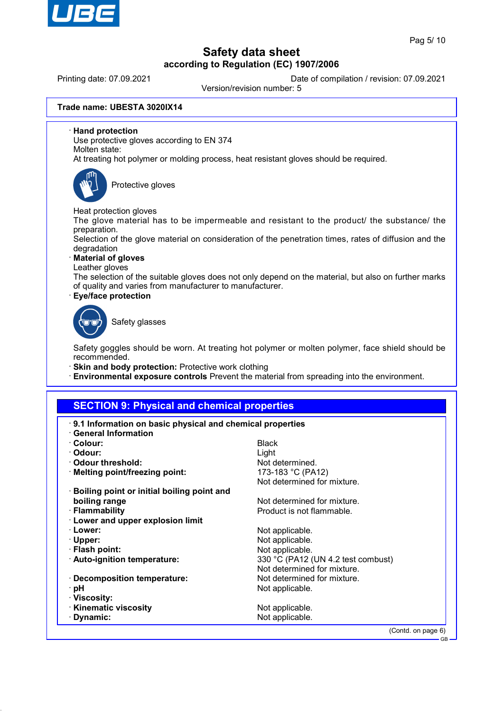

Printing date: 07.09.2021 Date of compilation / revision: 07.09.2021

Version/revision number: 5

**Trade name: UBESTA 3020IX14**

· **Hand protection**

Use protective gloves according to EN 374 Molten state:

At treating hot polymer or molding process, heat resistant gloves should be required.



Protective gloves

Heat protection gloves

The glove material has to be impermeable and resistant to the product/ the substance/ the preparation.

Selection of the glove material on consideration of the penetration times, rates of diffusion and the degradation

· **Material of gloves**

Leather gloves

The selection of the suitable gloves does not only depend on the material, but also on further marks of quality and varies from manufacturer to manufacturer.

· **Eye/face protection**



Safety glasses

Safety goggles should be worn. At treating hot polymer or molten polymer, face shield should be recommended.

- · **Skin and body protection:** Protective work clothing
- · **Environmental exposure controls** Prevent the material from spreading into the environment.

## **SECTION 9: Physical and chemical properties**

| 9.1 Information on basic physical and chemical properties<br><b>General Information</b> |                                    |  |
|-----------------------------------------------------------------------------------------|------------------------------------|--|
| · Colour:                                                                               | <b>Black</b>                       |  |
| · Odour:                                                                                | Light                              |  |
| ⋅ Odour threshold:                                                                      | Not determined.                    |  |
| · Melting point/freezing point:                                                         | 173-183 °C (PA12)                  |  |
|                                                                                         | Not determined for mixture.        |  |
| <b>Boiling point or initial boiling point and</b>                                       |                                    |  |
| boiling range                                                                           | Not determined for mixture.        |  |
| · Flammability                                                                          | Product is not flammable.          |  |
| · Lower and upper explosion limit                                                       |                                    |  |
| · Lower:                                                                                | Not applicable.                    |  |
| $\cdot$ Upper:                                                                          | Not applicable.                    |  |
| · Flash point:                                                                          | Not applicable.                    |  |
| · Auto-ignition temperature:                                                            | 330 °C (PA12 (UN 4.2 test combust) |  |
|                                                                                         | Not determined for mixture.        |  |
| · Decomposition temperature:                                                            | Not determined for mixture.        |  |
| · pH                                                                                    | Not applicable.                    |  |
| · Viscosity:                                                                            |                                    |  |
| <b>Kinematic viscosity</b>                                                              | Not applicable.                    |  |
| · Dynamic:                                                                              | Not applicable.                    |  |
|                                                                                         | (Contd. on page 6)                 |  |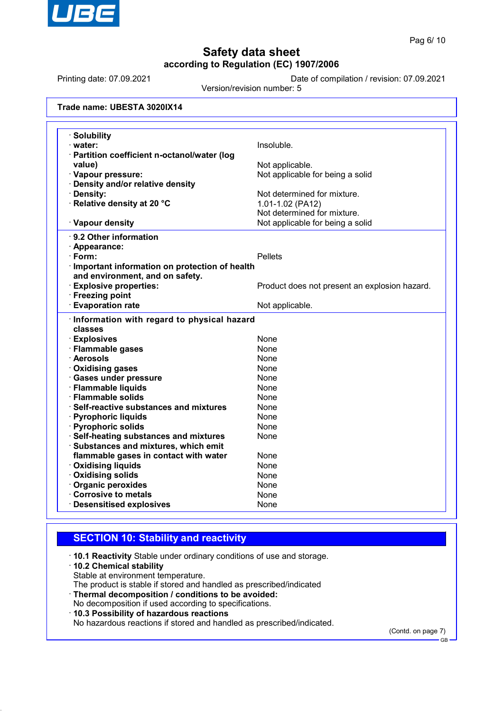

Printing date: 07.09.2021 Date of compilation / revision: 07.09.2021

Version/revision number: 5

| Trade name: UBESTA 3020IX14 |  |  |
|-----------------------------|--|--|
|-----------------------------|--|--|

| <b>Solubility</b>                                     |                                               |
|-------------------------------------------------------|-----------------------------------------------|
| · water:                                              | Insoluble.                                    |
| · Partition coefficient n-octanol/water (log          |                                               |
| value)                                                | Not applicable.                               |
| · Vapour pressure:                                    | Not applicable for being a solid              |
| · Density and/or relative density                     |                                               |
| · Density:                                            | Not determined for mixture.                   |
| · Relative density at 20 °C                           | 1.01-1.02 (PA12)                              |
|                                                       | Not determined for mixture.                   |
| · Vapour density                                      | Not applicable for being a solid              |
| · 9.2 Other information                               |                                               |
| · Appearance:                                         |                                               |
| $\cdot$ Form:                                         | <b>Pellets</b>                                |
| · Important information on protection of health       |                                               |
| and environment, and on safety.                       |                                               |
| <b>Explosive properties:</b>                          | Product does not present an explosion hazard. |
| · Freezing point                                      |                                               |
| <b>Evaporation rate</b>                               | Not applicable.                               |
| Information with regard to physical hazard<br>classes |                                               |
| · Explosives                                          | <b>None</b>                                   |
| · Flammable gases                                     | None                                          |
| · Aerosols                                            | None                                          |
| · Oxidising gases                                     | None                                          |
| · Gases under pressure                                | None                                          |
| · Flammable liquids                                   | None                                          |
| · Flammable solids                                    | None                                          |
| · Self-reactive substances and mixtures               | <b>None</b>                                   |
| · Pyrophoric liquids                                  | None                                          |
| · Pyrophoric solids                                   | None                                          |
| · Self-heating substances and mixtures                | None                                          |
| · Substances and mixtures, which emit                 |                                               |
| flammable gases in contact with water                 | None                                          |
| <b>Oxidising liquids</b>                              | <b>None</b>                                   |
| · Oxidising solids                                    | None                                          |
| · Organic peroxides                                   | None                                          |
| Corrosive to metals                                   | None                                          |
| <b>Desensitised explosives</b>                        | None                                          |

## **SECTION 10: Stability and reactivity**

· **10.1 Reactivity** Stable under ordinary conditions of use and storage.

#### · **10.2 Chemical stability**

Stable at environment temperature.

The product is stable if stored and handled as prescribed/indicated

- · **Thermal decomposition / conditions to be avoided:** No decomposition if used according to specifications.
- · **10.3 Possibility of hazardous reactions**

No hazardous reactions if stored and handled as prescribed/indicated.

(Contd. on page 7)

GB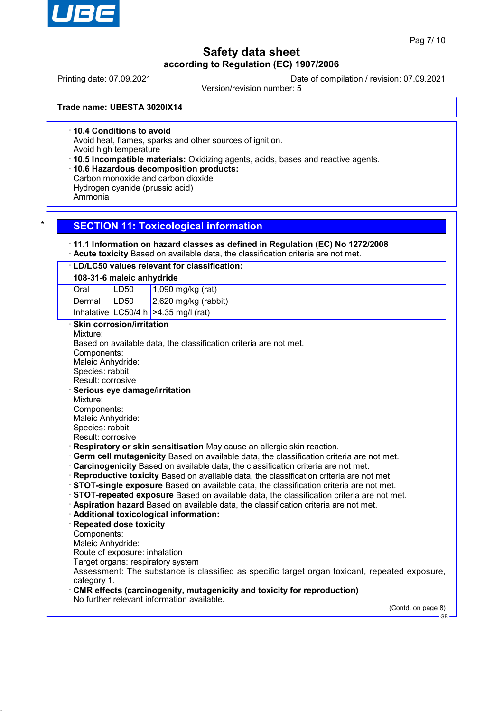

Printing date: 07.09.2021 Date of compilation / revision: 07.09.2021

Version/revision number: 5

**Trade name: UBESTA 3020IX14**

· **10.4 Conditions to avoid**

Avoid heat, flames, sparks and other sources of ignition.

Avoid high temperature

· **10.5 Incompatible materials:** Oxidizing agents, acids, bases and reactive agents.

· **10.6 Hazardous decomposition products:**

Carbon monoxide and carbon dioxide

Hydrogen cyanide (prussic acid)

Ammonia

## **SECTION 11: Toxicological information**

### · **11.1 Information on hazard classes as defined in Regulation (EC) No 1272/2008**

· **Acute toxicity** Based on available data, the classification criteria are not met.

| 108-31-6 maleic anhydride                                                                                                                                                                                                                                                                                                                                                                                                                                                                                                                                                                                                                                                                                                                                                                                                                                                                                                                                                                                                                                                                                                                                                                                                                                                                                                                                                                   |
|---------------------------------------------------------------------------------------------------------------------------------------------------------------------------------------------------------------------------------------------------------------------------------------------------------------------------------------------------------------------------------------------------------------------------------------------------------------------------------------------------------------------------------------------------------------------------------------------------------------------------------------------------------------------------------------------------------------------------------------------------------------------------------------------------------------------------------------------------------------------------------------------------------------------------------------------------------------------------------------------------------------------------------------------------------------------------------------------------------------------------------------------------------------------------------------------------------------------------------------------------------------------------------------------------------------------------------------------------------------------------------------------|
| <b>LD50</b><br>Oral                                                                                                                                                                                                                                                                                                                                                                                                                                                                                                                                                                                                                                                                                                                                                                                                                                                                                                                                                                                                                                                                                                                                                                                                                                                                                                                                                                         |
| LD50<br>Dermal                                                                                                                                                                                                                                                                                                                                                                                                                                                                                                                                                                                                                                                                                                                                                                                                                                                                                                                                                                                                                                                                                                                                                                                                                                                                                                                                                                              |
| Inhalative LC50/4 h $>4.35$ mg/l (rat)                                                                                                                                                                                                                                                                                                                                                                                                                                                                                                                                                                                                                                                                                                                                                                                                                                                                                                                                                                                                                                                                                                                                                                                                                                                                                                                                                      |
| <b>Skin corrosion/irritation</b><br>Mixture:<br>Based on available data, the classification criteria are not met.<br>Components:<br>Maleic Anhydride:<br>Species: rabbit<br>Result: corrosive<br>Serious eye damage/irritation<br>Mixture:<br>Components:<br>Maleic Anhydride:<br>Species: rabbit<br>Result: corrosive<br>· Respiratory or skin sensitisation May cause an allergic skin reaction.<br>· Germ cell mutagenicity Based on available data, the classification criteria are not met.<br>Carcinogenicity Based on available data, the classification criteria are not met.<br>· Reproductive toxicity Based on available data, the classification criteria are not met.<br>STOT-single exposure Based on available data, the classification criteria are not met.<br>STOT-repeated exposure Based on available data, the classification criteria are not met.<br>· Aspiration hazard Based on available data, the classification criteria are not met.<br>· Additional toxicological information:<br>· Repeated dose toxicity<br>Components:<br>Maleic Anhydride:<br>Route of exposure: inhalation<br>Target organs: respiratory system<br>Assessment: The substance is classified as specific target organ toxicant, repeated exposure,<br>category 1.<br>CMR effects (carcinogenity, mutagenicity and toxicity for reproduction)<br>No further relevant information available. |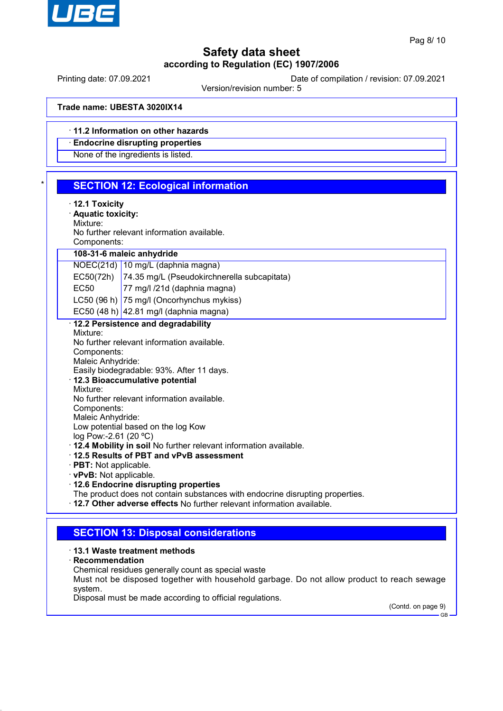

Printing date: 07.09.2021 Date of compilation / revision: 07.09.2021

Version/revision number: 5

**Trade name: UBESTA 3020IX14**

· **11.2 Information on other hazards**

· **Endocrine disrupting properties**

None of the ingredients is listed.

| $\star$ | <b>SECTION 12: Ecological information</b> |  |  |
|---------|-------------------------------------------|--|--|
|         |                                           |  |  |

- · **12.1 Toxicity**
- · **Aquatic toxicity:**

Mixture:

No further relevant information available.

Components:

**108-31-6 maleic anhydride**

NOEC(21d) 10 mg/L (daphnia magna)

EC50(72h) 74.35 mg/L (Pseudokirchnerella subcapitata)

EC50 77 mg/l /21d (daphnia magna)

LC50 (96 h) 75 mg/l (Oncorhynchus mykiss)

EC50 (48 h) 42.81 mg/l (daphnia magna)

### · **12.2 Persistence and degradability**

Mixture: No further relevant information available. Components: Maleic Anhydride:

Easily biodegradable: 93%. After 11 days.

- · **12.3 Bioaccumulative potential**
- Mixture:

No further relevant information available.

Components: Maleic Anhydride:

Low potential based on the log Kow

log Pow:-2.61 (20 ºC)

· **12.4 Mobility in soil** No further relevant information available.

- · **12.5 Results of PBT and vPvB assessment**
- · **PBT:** Not applicable.
- · **vPvB:** Not applicable.
- · **12.6 Endocrine disrupting properties**

The product does not contain substances with endocrine disrupting properties.

· **12.7 Other adverse effects** No further relevant information available.

## **SECTION 13: Disposal considerations**

#### · **13.1 Waste treatment methods**

- · **Recommendation**
- Chemical residues generally count as special waste

Must not be disposed together with household garbage. Do not allow product to reach sewage system.

Disposal must be made according to official regulations.

(Contd. on page 9)

GB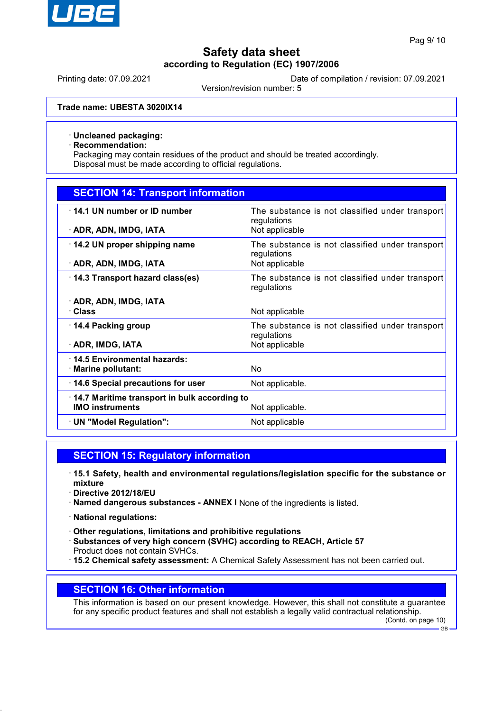

Printing date: 07.09.2021 Date of compilation / revision: 07.09.2021

Version/revision number: 5

**Trade name: UBESTA 3020IX14**

#### · **Uncleaned packaging:**

· **Recommendation:**

Packaging may contain residues of the product and should be treated accordingly. Disposal must be made according to official regulations.

## **SECTION 14: Transport information**

| 14.1 UN number or ID number<br>· ADR, ADN, IMDG, IATA | The substance is not classified under transport<br>regulations<br>Not applicable |
|-------------------------------------------------------|----------------------------------------------------------------------------------|
| 14.2 UN proper shipping name                          | The substance is not classified under transport<br>regulations                   |
| · ADR, ADN, IMDG, IATA                                | Not applicable                                                                   |
| 14.3 Transport hazard class(es)                       | The substance is not classified under transport<br>regulations                   |
| · ADR, ADN, IMDG, IATA                                |                                                                                  |
| · Class                                               | Not applicable                                                                   |
| ⋅ 14.4 Packing group                                  | The substance is not classified under transport<br>regulations                   |
| · ADR, IMDG, IATA                                     | Not applicable                                                                   |
| 14.5 Environmental hazards:                           |                                                                                  |
| $\cdot$ Marine pollutant:                             | No.                                                                              |
| 14.6 Special precautions for user                     | Not applicable.                                                                  |
| 14.7 Maritime transport in bulk according to          |                                                                                  |
| <b>IMO instruments</b>                                | Not applicable.                                                                  |
| $\cdot$ UN "Model Regulation":                        | Not applicable                                                                   |

## **SECTION 15: Regulatory information**

- · **15.1 Safety, health and environmental regulations/legislation specific for the substance or mixture**
- · **Directive 2012/18/EU**
- · **Named dangerous substances ANNEX I** None of the ingredients is listed.
- · **National regulations:**
- · **Other regulations, limitations and prohibitive regulations**
- · **Substances of very high concern (SVHC) according to REACH, Article 57** Product does not contain SVHCs.
- · **15.2 Chemical safety assessment:** A Chemical Safety Assessment has not been carried out.

## **SECTION 16: Other information**

This information is based on our present knowledge. However, this shall not constitute a guarantee for any specific product features and shall not establish a legally valid contractual relationship.

(Contd. on page 10) GB